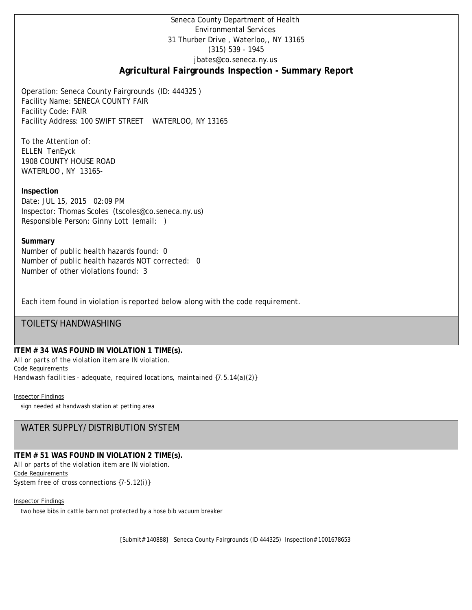# Seneca County Department of Health Environmental Services 31 Thurber Drive , Waterloo,, NY 13165 (315) 539 - 1945 [jbates@co.seneca.ny.us](mailto:jbates@co.seneca.ny.us) **Agricultural Fairgrounds Inspection - Summary Report**

Operation: Seneca County Fairgrounds (ID: 444325 ) Facility Name: SENECA COUNTY FAIR Facility Code: FAIR Facility Address: 100 SWIFT STREET WATERLOO, NY 13165

To the Attention of: ELLEN TenEyck 1908 COUNTY HOUSE ROAD WATERLOO , NY 13165-

**Inspection** Date: JUL 15, 2015 02:09 PM Inspector: Thomas Scoles (tscoles@co.seneca.ny.us) Responsible Person: Ginny Lott (email: )

## **Summary**

Number of public health hazards found: 0 Number of public health hazards NOT corrected: 0 Number of other violations found: 3

Each item found in violation is reported below along with the code requirement.

# TOILETS/HANDWASHING

## **ITEM # 34 WAS FOUND IN VIOLATION 1 TIME(s).**

*All or parts of the violation item are IN violation.* Code Requirements *Handwash facilities - adequate, required locations, maintained {7.5.14(a)(2)}*

## Inspector Findings

sign needed at handwash station at petting area

# WATER SUPPLY/DISTRIBUTION SYSTEM

# **ITEM # 51 WAS FOUND IN VIOLATION 2 TIME(s).**

*All or parts of the violation item are IN violation.* Code Requirements *System free of cross connections {7-5.12(i)}*

#### Inspector Findings

two hose bibs in cattle barn not protected by a hose bib vacuum breaker

[Submit# 140888] Seneca County Fairgrounds (ID 444325) Inspection# 1001678653